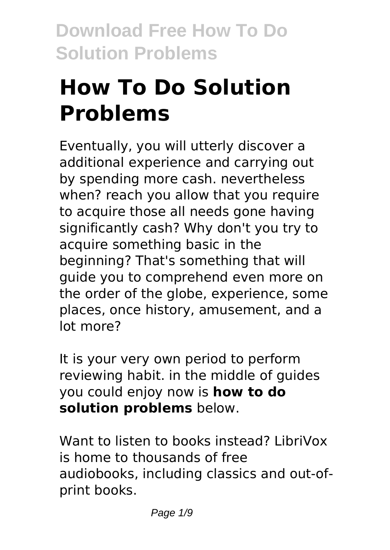# **How To Do Solution Problems**

Eventually, you will utterly discover a additional experience and carrying out by spending more cash. nevertheless when? reach you allow that you require to acquire those all needs gone having significantly cash? Why don't you try to acquire something basic in the beginning? That's something that will guide you to comprehend even more on the order of the globe, experience, some places, once history, amusement, and a lot more?

It is your very own period to perform reviewing habit. in the middle of guides you could enjoy now is **how to do solution problems** below.

Want to listen to books instead? LibriVox is home to thousands of free audiobooks, including classics and out-ofprint books.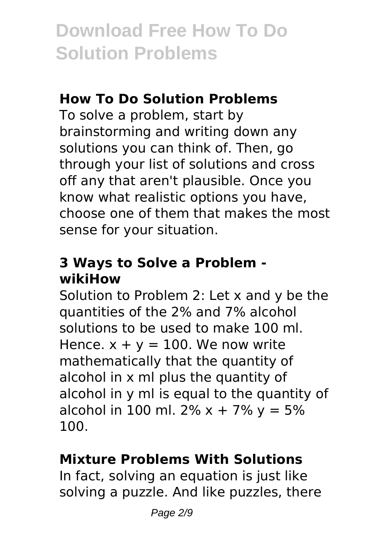### **How To Do Solution Problems**

To solve a problem, start by brainstorming and writing down any solutions you can think of. Then, go through your list of solutions and cross off any that aren't plausible. Once you know what realistic options you have, choose one of them that makes the most sense for your situation.

### **3 Ways to Solve a Problem wikiHow**

Solution to Problem 2: Let x and y be the quantities of the 2% and 7% alcohol solutions to be used to make 100 ml. Hence.  $x + y = 100$ . We now write mathematically that the quantity of alcohol in x ml plus the quantity of alcohol in y ml is equal to the quantity of alcohol in 100 ml. 2%  $x + 7$ %  $y = 5$ % 100.

### **Mixture Problems With Solutions**

In fact, solving an equation is just like solving a puzzle. And like puzzles, there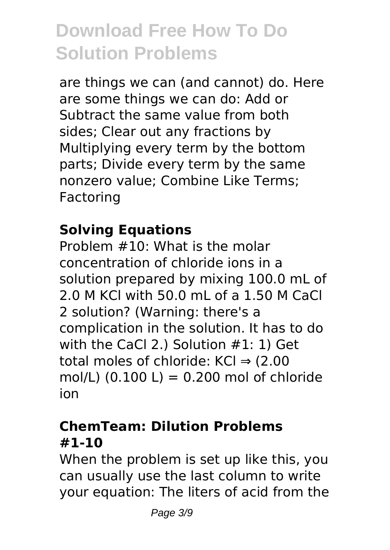are things we can (and cannot) do. Here are some things we can do: Add or Subtract the same value from both sides; Clear out any fractions by Multiplying every term by the bottom parts; Divide every term by the same nonzero value; Combine Like Terms; Factoring

### **Solving Equations**

Problem #10: What is the molar concentration of chloride ions in a solution prepared by mixing 100.0 mL of 2.0 M KCl with 50.0 mL of a 1.50 M CaCl 2 solution? (Warning: there's a complication in the solution. It has to do with the CaCl 2.) Solution #1: 1) Get total moles of chloride: KCl ⇒ (2.00 mol/L)  $(0.100 L) = 0.200$  mol of chloride ion

### **ChemTeam: Dilution Problems #1-10**

When the problem is set up like this, you can usually use the last column to write your equation: The liters of acid from the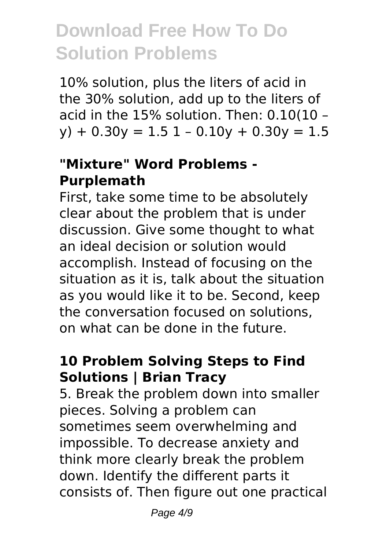10% solution, plus the liters of acid in the 30% solution, add up to the liters of acid in the 15% solution. Then: 0.10(10 –  $y$ ) + 0.30 $y$  = 1.5 1 - 0.10 $y$  + 0.30 $y$  = 1.5

### **"Mixture" Word Problems - Purplemath**

First, take some time to be absolutely clear about the problem that is under discussion. Give some thought to what an ideal decision or solution would accomplish. Instead of focusing on the situation as it is, talk about the situation as you would like it to be. Second, keep the conversation focused on solutions, on what can be done in the future.

### **10 Problem Solving Steps to Find Solutions | Brian Tracy**

5. Break the problem down into smaller pieces. Solving a problem can sometimes seem overwhelming and impossible. To decrease anxiety and think more clearly break the problem down. Identify the different parts it consists of. Then figure out one practical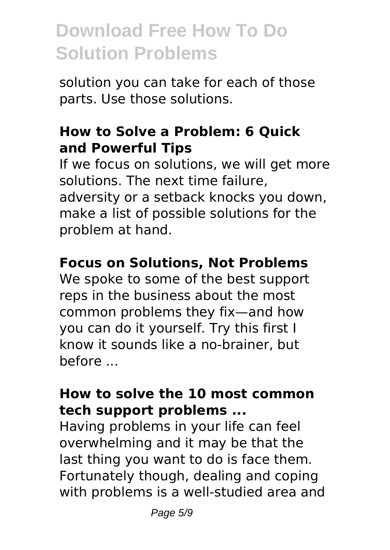solution you can take for each of those parts. Use those solutions.

#### **How to Solve a Problem: 6 Quick and Powerful Tips**

If we focus on solutions, we will get more solutions. The next time failure, adversity or a setback knocks you down. make a list of possible solutions for the problem at hand.

#### **Focus on Solutions, Not Problems**

We spoke to some of the best support reps in the business about the most common problems they fix—and how you can do it yourself. Try this first I know it sounds like a no-brainer, but before ...

#### **How to solve the 10 most common tech support problems ...**

Having problems in your life can feel overwhelming and it may be that the last thing you want to do is face them. Fortunately though, dealing and coping with problems is a well-studied area and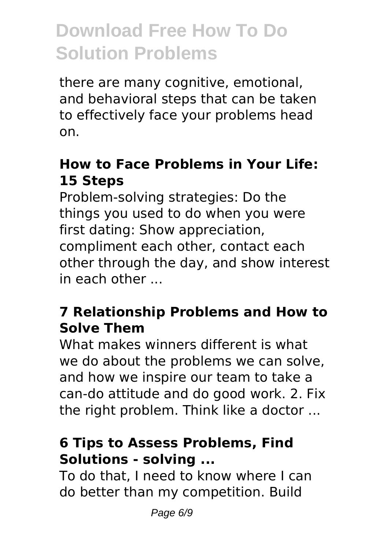there are many cognitive, emotional, and behavioral steps that can be taken to effectively face your problems head on.

### **How to Face Problems in Your Life: 15 Steps**

Problem-solving strategies: Do the things you used to do when you were first dating: Show appreciation, compliment each other, contact each other through the day, and show interest in each other  $\overline{\phantom{a}}$ 

### **7 Relationship Problems and How to Solve Them**

What makes winners different is what we do about the problems we can solve, and how we inspire our team to take a can-do attitude and do good work. 2. Fix the right problem. Think like a doctor ...

### **6 Tips to Assess Problems, Find Solutions - solving ...**

To do that, I need to know where I can do better than my competition. Build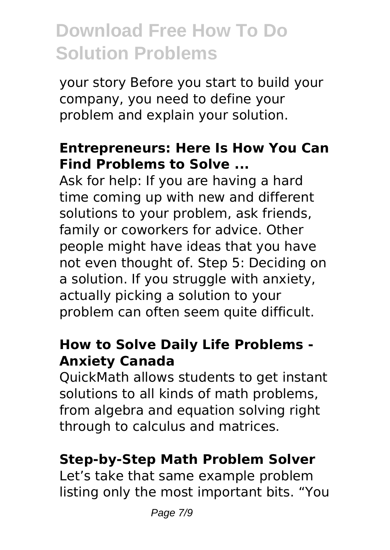your story Before you start to build your company, you need to define your problem and explain your solution.

#### **Entrepreneurs: Here Is How You Can Find Problems to Solve ...**

Ask for help: If you are having a hard time coming up with new and different solutions to your problem, ask friends, family or coworkers for advice. Other people might have ideas that you have not even thought of. Step 5: Deciding on a solution. If you struggle with anxiety, actually picking a solution to your problem can often seem quite difficult.

#### **How to Solve Daily Life Problems - Anxiety Canada**

QuickMath allows students to get instant solutions to all kinds of math problems, from algebra and equation solving right through to calculus and matrices.

### **Step-by-Step Math Problem Solver**

Let's take that same example problem listing only the most important bits. "You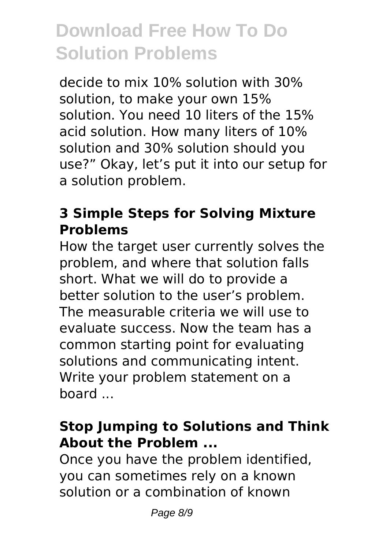decide to mix 10% solution with 30% solution, to make your own 15% solution. You need 10 liters of the 15% acid solution. How many liters of 10% solution and 30% solution should you use?" Okay, let's put it into our setup for a solution problem.

### **3 Simple Steps for Solving Mixture Problems**

How the target user currently solves the problem, and where that solution falls short. What we will do to provide a better solution to the user's problem. The measurable criteria we will use to evaluate success. Now the team has a common starting point for evaluating solutions and communicating intent. Write your problem statement on a board ...

### **Stop Jumping to Solutions and Think About the Problem ...**

Once you have the problem identified, you can sometimes rely on a known solution or a combination of known